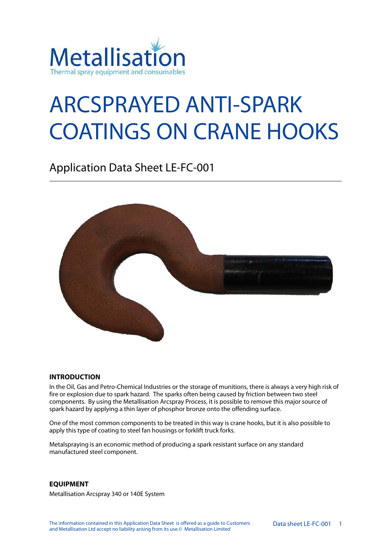

# ARCSPRAYED ANTI-SPARK COATINGS ON CRANE HOOKS

Application Data Sheet LE-FC-001



#### **INTRODUCTION**

In the Oil, Gas and Petro-Chemical Industries or the storage of munitions, there is always a very high risk of fire or explosion due to spark hazard. The sparks often being caused by friction between two steel components. By using the Metallisation Arcspray Process, it is possible to remove this major source of spark hazard by applying a thin layer of phosphor bronze onto the offending surface.

One of the most common components to be treated in this way is crane hooks, but it is also possible to apply this type of coating to steel fan housings or forklift truck forks.

Metalspraying is an economic method of producing a spark resistant surface on any standard manufactured steel component.

#### **EQUIPMENT**

Metallisation Arcspray 340 or 140E System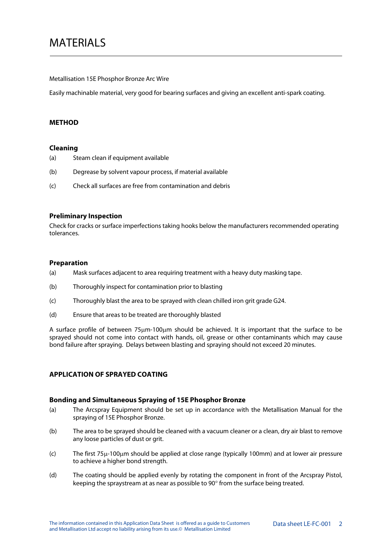Metallisation 15E Phosphor Bronze Arc Wire

Easily machinable material, very good for bearing surfaces and giving an excellent anti-spark coating.

#### **METHOD**

#### **Cleaning**

- (a) Steam clean if equipment available
- (b) Degrease by solvent vapour process, if material available
- (c) Check all surfaces are free from contamination and debris

### **Preliminary Inspection**

Check for cracks or surface imperfections taking hooks below the manufacturers recommended operating tolerances.

# **Preparation**

- (a) Mask surfaces adjacent to area requiring treatment with a heavy duty masking tape.
- (b) Thoroughly inspect for contamination prior to blasting
- (c) Thoroughly blast the area to be sprayed with clean chilled iron grit grade G24.
- (d) Ensure that areas to be treated are thoroughly blasted

A surface profile of between 75μm-100μm should be achieved. It is important that the surface to be sprayed should not come into contact with hands, oil, grease or other contaminants which may cause bond failure after spraying. Delays between blasting and spraying should not exceed 20 minutes.

# **APPLICATION OF SPRAYED COATING**

#### **Bonding and Simultaneous Spraying of 15E Phosphor Bronze**

- (a) The Arcspray Equipment should be set up in accordance with the Metallisation Manual for the spraying of 15E Phosphor Bronze.
- (b) The area to be sprayed should be cleaned with a vacuum cleaner or a clean, dry air blast to remove any loose particles of dust or grit.
- (c) The first 75μ-100μm should be applied at close range (typically 100mm) and at lower air pressure to achieve a higher bond strength.
- (d) The coating should be applied evenly by rotating the component in front of the Arcspray Pistol, keeping the spraystream at as near as possible to 90° from the surface being treated.